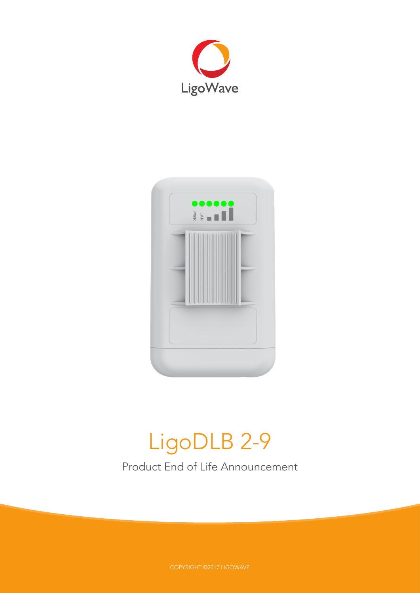



# LigoDLB 2-9

Product End of Life Announcement

COPYRIGHT ©2017 LIGOWAVE